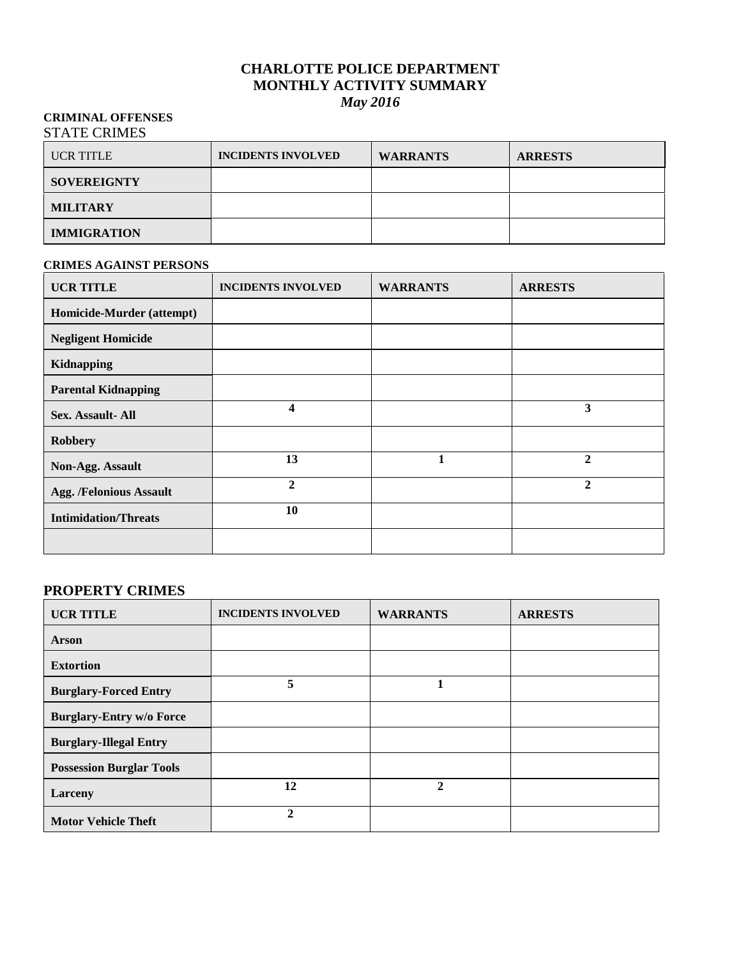#### **CHARLOTTE POLICE DEPARTMENT MONTHLY ACTIVITY SUMMARY** *May 2016*

#### **CRIMINAL OFFENSES** STATE CRIMES

| <b>UCR TITLE</b>   | <b>INCIDENTS INVOLVED</b> | <b>WARRANTS</b> | <b>ARRESTS</b> |
|--------------------|---------------------------|-----------------|----------------|
| <b>SOVEREIGNTY</b> |                           |                 |                |
| <b>MILITARY</b>    |                           |                 |                |
| <b>IMMIGRATION</b> |                           |                 |                |

#### **CRIMES AGAINST PERSONS**

| <b>UCR TITLE</b>               | <b>INCIDENTS INVOLVED</b> | <b>WARRANTS</b> | <b>ARRESTS</b> |
|--------------------------------|---------------------------|-----------------|----------------|
| Homicide-Murder (attempt)      |                           |                 |                |
| <b>Negligent Homicide</b>      |                           |                 |                |
| Kidnapping                     |                           |                 |                |
| <b>Parental Kidnapping</b>     |                           |                 |                |
| Sex. Assault- All              | 4                         |                 | 3              |
| <b>Robbery</b>                 |                           |                 |                |
| Non-Agg. Assault               | 13                        |                 | $\overline{2}$ |
| <b>Agg. /Felonious Assault</b> | $\mathbf{2}$              |                 | $\overline{2}$ |
| <b>Intimidation/Threats</b>    | 10                        |                 |                |
|                                |                           |                 |                |

## **PROPERTY CRIMES**

| <b>UCR TITLE</b>                | <b>INCIDENTS INVOLVED</b> | <b>WARRANTS</b> | <b>ARRESTS</b> |
|---------------------------------|---------------------------|-----------------|----------------|
| <b>Arson</b>                    |                           |                 |                |
| <b>Extortion</b>                |                           |                 |                |
| <b>Burglary-Forced Entry</b>    | 5                         |                 |                |
| <b>Burglary-Entry w/o Force</b> |                           |                 |                |
| <b>Burglary-Illegal Entry</b>   |                           |                 |                |
| <b>Possession Burglar Tools</b> |                           |                 |                |
| Larceny                         | 12                        | $\mathbf{2}$    |                |
| <b>Motor Vehicle Theft</b>      | $\mathbf{2}$              |                 |                |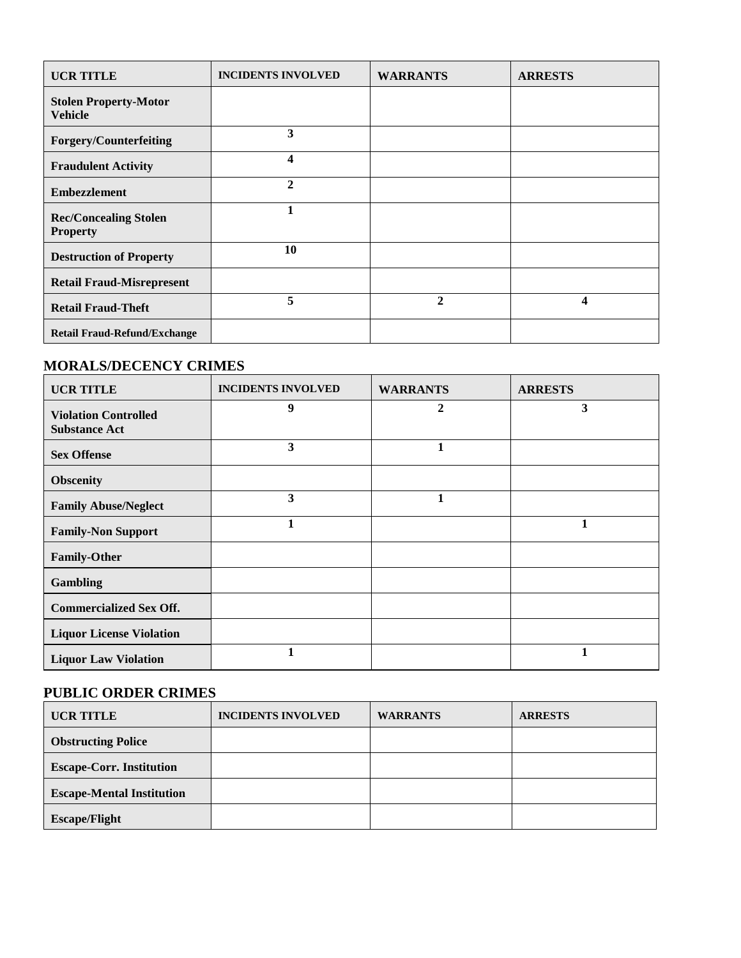| <b>UCR TITLE</b>                                | <b>INCIDENTS INVOLVED</b> | <b>WARRANTS</b> | <b>ARRESTS</b> |
|-------------------------------------------------|---------------------------|-----------------|----------------|
| <b>Stolen Property-Motor</b><br><b>Vehicle</b>  |                           |                 |                |
| <b>Forgery/Counterfeiting</b>                   | 3                         |                 |                |
| <b>Fraudulent Activity</b>                      | 4                         |                 |                |
| <b>Embezzlement</b>                             | $\mathbf{2}$              |                 |                |
| <b>Rec/Concealing Stolen</b><br><b>Property</b> | 1                         |                 |                |
| <b>Destruction of Property</b>                  | 10                        |                 |                |
| <b>Retail Fraud-Misrepresent</b>                |                           |                 |                |
| <b>Retail Fraud-Theft</b>                       | 5                         | $\overline{2}$  | 4              |
| <b>Retail Fraud-Refund/Exchange</b>             |                           |                 |                |

#### **MORALS/DECENCY CRIMES**

| <b>UCR TITLE</b>                                    | <b>INCIDENTS INVOLVED</b> | <b>WARRANTS</b> | <b>ARRESTS</b> |
|-----------------------------------------------------|---------------------------|-----------------|----------------|
| <b>Violation Controlled</b><br><b>Substance Act</b> | 9                         | $\overline{2}$  | 3              |
| <b>Sex Offense</b>                                  | 3                         | 1               |                |
| <b>Obscenity</b>                                    |                           |                 |                |
| <b>Family Abuse/Neglect</b>                         | 3                         | 1               |                |
| <b>Family-Non Support</b>                           | 1                         |                 | 1              |
| <b>Family-Other</b>                                 |                           |                 |                |
| <b>Gambling</b>                                     |                           |                 |                |
| <b>Commercialized Sex Off.</b>                      |                           |                 |                |
| <b>Liquor License Violation</b>                     |                           |                 |                |
| <b>Liquor Law Violation</b>                         | 1                         |                 | 1              |

## **PUBLIC ORDER CRIMES**

| <b>UCR TITLE</b>                 | <b>INCIDENTS INVOLVED</b> | <b>WARRANTS</b> | <b>ARRESTS</b> |
|----------------------------------|---------------------------|-----------------|----------------|
| <b>Obstructing Police</b>        |                           |                 |                |
| <b>Escape-Corr. Institution</b>  |                           |                 |                |
| <b>Escape-Mental Institution</b> |                           |                 |                |
| <b>Escape/Flight</b>             |                           |                 |                |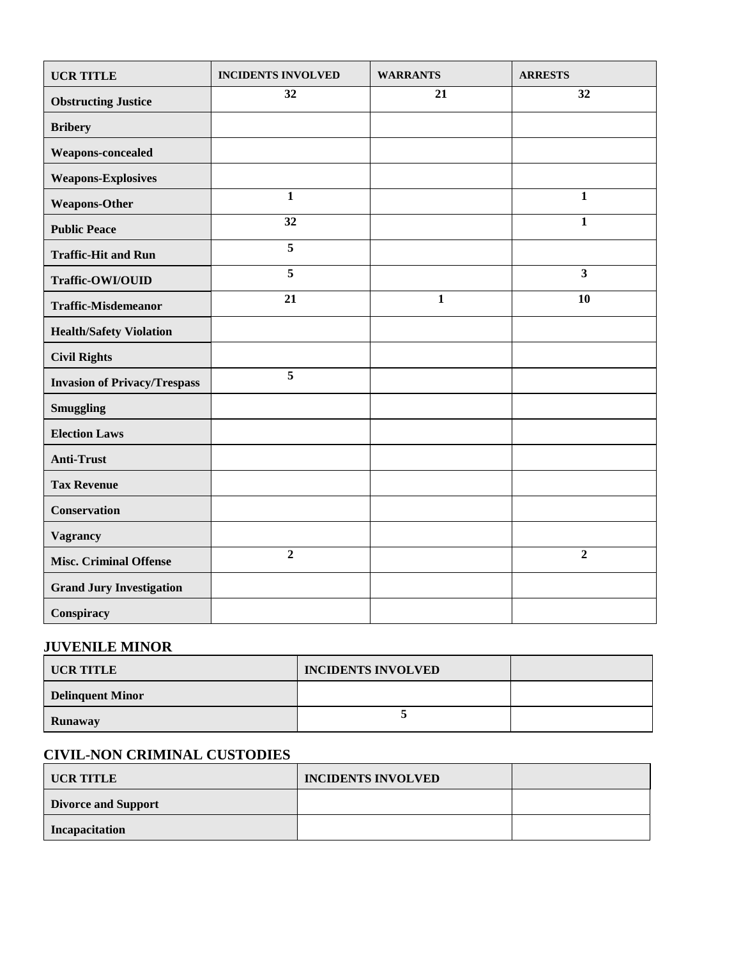| <b>UCR TITLE</b>                    | <b>INCIDENTS INVOLVED</b> | <b>WARRANTS</b> | <b>ARRESTS</b>          |
|-------------------------------------|---------------------------|-----------------|-------------------------|
| <b>Obstructing Justice</b>          | 32                        | 21              | 32                      |
| <b>Bribery</b>                      |                           |                 |                         |
| Weapons-concealed                   |                           |                 |                         |
| <b>Weapons-Explosives</b>           |                           |                 |                         |
| <b>Weapons-Other</b>                | $\mathbf{1}$              |                 | $\mathbf{1}$            |
| <b>Public Peace</b>                 | 32                        |                 | $\mathbf{1}$            |
| <b>Traffic-Hit and Run</b>          | $\overline{5}$            |                 |                         |
| Traffic-OWI/OUID                    | $\overline{5}$            |                 | $\overline{\mathbf{3}}$ |
| <b>Traffic-Misdemeanor</b>          | 21                        | $\mathbf{1}$    | 10                      |
| <b>Health/Safety Violation</b>      |                           |                 |                         |
| <b>Civil Rights</b>                 |                           |                 |                         |
| <b>Invasion of Privacy/Trespass</b> | 5                         |                 |                         |
| <b>Smuggling</b>                    |                           |                 |                         |
| <b>Election Laws</b>                |                           |                 |                         |
| <b>Anti-Trust</b>                   |                           |                 |                         |
| <b>Tax Revenue</b>                  |                           |                 |                         |
| <b>Conservation</b>                 |                           |                 |                         |
| <b>Vagrancy</b>                     |                           |                 |                         |
| <b>Misc. Criminal Offense</b>       | $\overline{2}$            |                 | $\overline{2}$          |
| <b>Grand Jury Investigation</b>     |                           |                 |                         |
| Conspiracy                          |                           |                 |                         |

## **JUVENILE MINOR**

| UCR TITLE               | <b>INCIDENTS INVOLVED</b> |  |
|-------------------------|---------------------------|--|
| <b>Delinquent Minor</b> |                           |  |
| Runaway                 |                           |  |

## **CIVIL-NON CRIMINAL CUSTODIES**

| <b>UCR TITLE</b>           | <b>INCIDENTS INVOLVED</b> |  |
|----------------------------|---------------------------|--|
| <b>Divorce and Support</b> |                           |  |
| Incapacitation             |                           |  |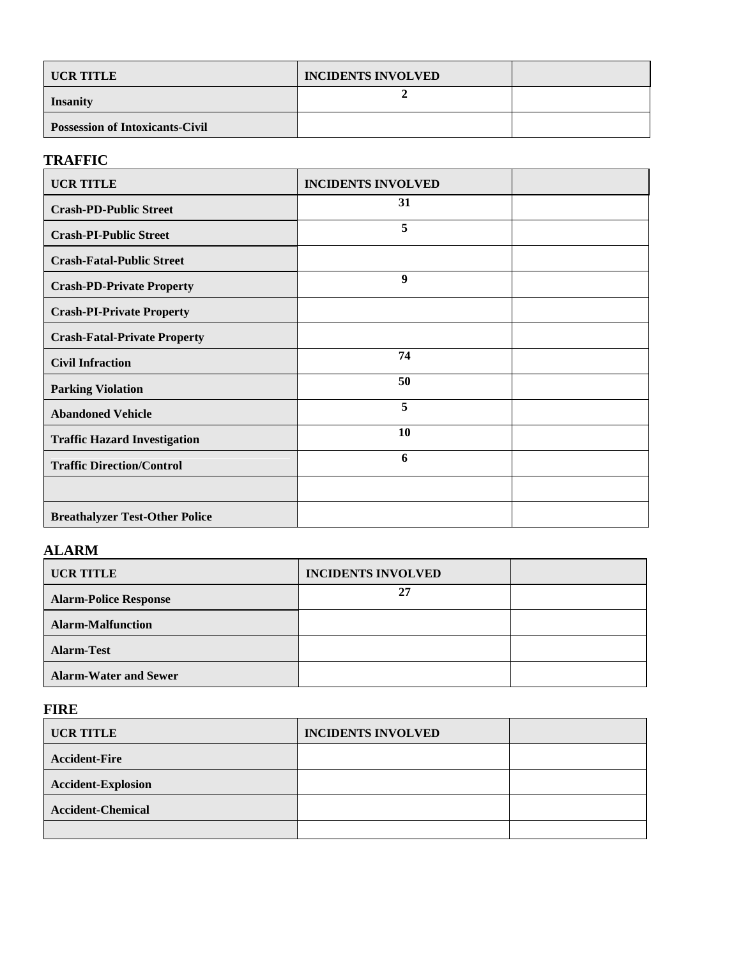| UCR TITLE                              | <b>INCIDENTS INVOLVED</b> |  |
|----------------------------------------|---------------------------|--|
| <b>Insanity</b>                        |                           |  |
| <b>Possession of Intoxicants-Civil</b> |                           |  |

## **TRAFFIC**

| <b>UCR TITLE</b>                      | <b>INCIDENTS INVOLVED</b> |  |
|---------------------------------------|---------------------------|--|
| <b>Crash-PD-Public Street</b>         | 31                        |  |
| <b>Crash-PI-Public Street</b>         | 5                         |  |
| <b>Crash-Fatal-Public Street</b>      |                           |  |
| <b>Crash-PD-Private Property</b>      | 9                         |  |
| <b>Crash-PI-Private Property</b>      |                           |  |
| <b>Crash-Fatal-Private Property</b>   |                           |  |
| <b>Civil Infraction</b>               | 74                        |  |
| <b>Parking Violation</b>              | 50                        |  |
| <b>Abandoned Vehicle</b>              | 5                         |  |
| <b>Traffic Hazard Investigation</b>   | 10                        |  |
| <b>Traffic Direction/Control</b>      | 6                         |  |
|                                       |                           |  |
| <b>Breathalyzer Test-Other Police</b> |                           |  |

# **ALARM**

| <b>UCR TITLE</b>             | <b>INCIDENTS INVOLVED</b> |  |
|------------------------------|---------------------------|--|
| <b>Alarm-Police Response</b> | 27                        |  |
| <b>Alarm-Malfunction</b>     |                           |  |
| <b>Alarm-Test</b>            |                           |  |
| <b>Alarm-Water and Sewer</b> |                           |  |

## **FIRE**

| <b>UCR TITLE</b>          | <b>INCIDENTS INVOLVED</b> |  |
|---------------------------|---------------------------|--|
| <b>Accident-Fire</b>      |                           |  |
| <b>Accident-Explosion</b> |                           |  |
| <b>Accident-Chemical</b>  |                           |  |
|                           |                           |  |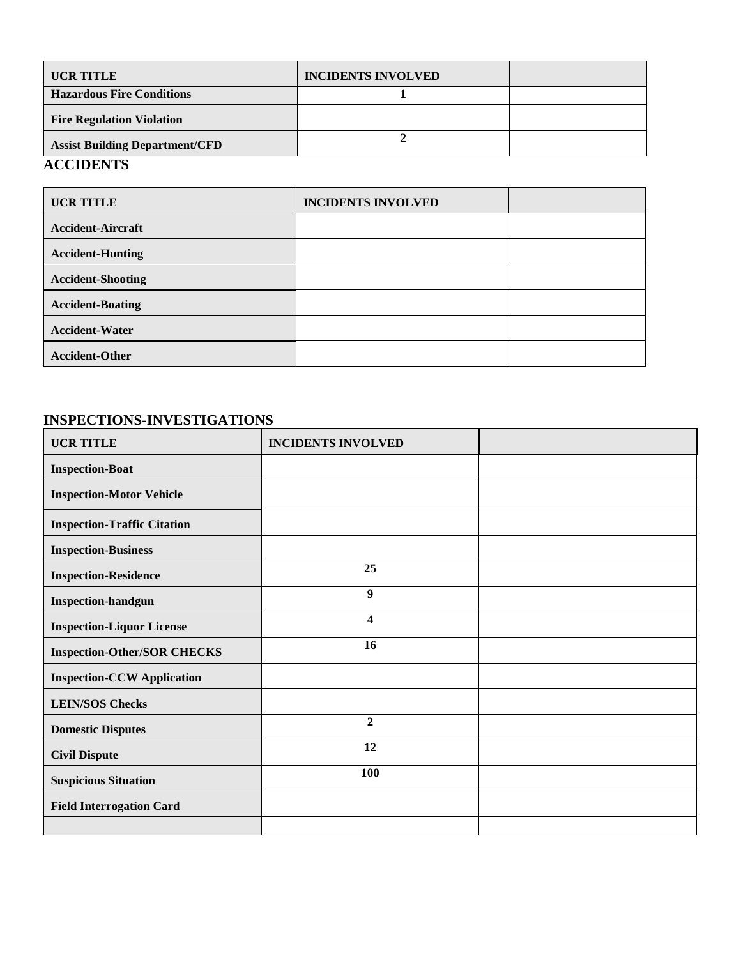| <b>UCR TITLE</b>                                                                                        | <b>INCIDENTS INVOLVED</b> |  |
|---------------------------------------------------------------------------------------------------------|---------------------------|--|
| <b>Hazardous Fire Conditions</b>                                                                        |                           |  |
| <b>Fire Regulation Violation</b>                                                                        |                           |  |
| <b>Assist Building Department/CFD</b>                                                                   |                           |  |
| $\mathbf{A}$ $\mathbf{A}$ $\mathbf{B}$ $\mathbf{B}$ $\mathbf{B}$ $\mathbf{B}$ $\mathbf{B}$ $\mathbf{B}$ |                           |  |

#### **ACCIDENTS**

| <b>UCR TITLE</b>         | <b>INCIDENTS INVOLVED</b> |  |
|--------------------------|---------------------------|--|
| <b>Accident-Aircraft</b> |                           |  |
| <b>Accident-Hunting</b>  |                           |  |
| <b>Accident-Shooting</b> |                           |  |
| <b>Accident-Boating</b>  |                           |  |
| <b>Accident-Water</b>    |                           |  |
| <b>Accident-Other</b>    |                           |  |

## **INSPECTIONS-INVESTIGATIONS**

| <b>UCR TITLE</b>                   | <b>INCIDENTS INVOLVED</b> |  |
|------------------------------------|---------------------------|--|
| <b>Inspection-Boat</b>             |                           |  |
| <b>Inspection-Motor Vehicle</b>    |                           |  |
| <b>Inspection-Traffic Citation</b> |                           |  |
| <b>Inspection-Business</b>         |                           |  |
| <b>Inspection-Residence</b>        | 25                        |  |
| <b>Inspection-handgun</b>          | $\boldsymbol{9}$          |  |
| <b>Inspection-Liquor License</b>   | 4                         |  |
| <b>Inspection-Other/SOR CHECKS</b> | 16                        |  |
| <b>Inspection-CCW Application</b>  |                           |  |
| <b>LEIN/SOS Checks</b>             |                           |  |
| <b>Domestic Disputes</b>           | $\overline{2}$            |  |
| <b>Civil Dispute</b>               | 12                        |  |
| <b>Suspicious Situation</b>        | 100                       |  |
| <b>Field Interrogation Card</b>    |                           |  |
|                                    |                           |  |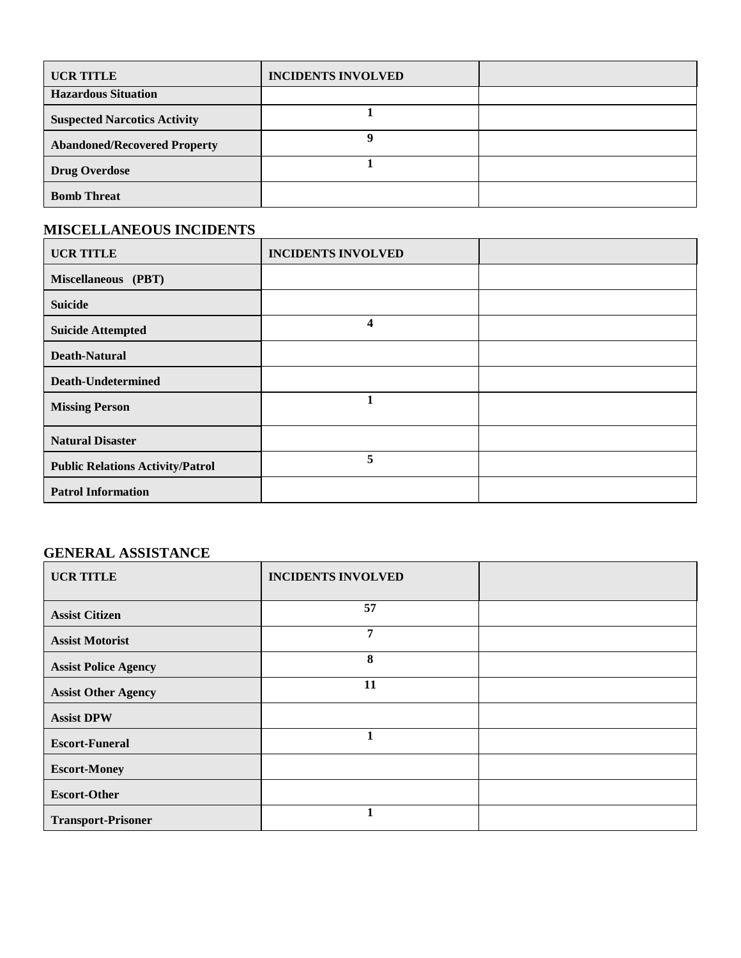| <b>UCR TITLE</b>                    | <b>INCIDENTS INVOLVED</b> |  |
|-------------------------------------|---------------------------|--|
| <b>Hazardous Situation</b>          |                           |  |
| <b>Suspected Narcotics Activity</b> |                           |  |
| <b>Abandoned/Recovered Property</b> |                           |  |
| <b>Drug Overdose</b>                |                           |  |
| <b>Bomb Threat</b>                  |                           |  |

## **MISCELLANEOUS INCIDENTS**

| <b>UCR TITLE</b>                        | <b>INCIDENTS INVOLVED</b> |  |
|-----------------------------------------|---------------------------|--|
| Miscellaneous (PBT)                     |                           |  |
| <b>Suicide</b>                          |                           |  |
| <b>Suicide Attempted</b>                | 4                         |  |
| <b>Death-Natural</b>                    |                           |  |
| <b>Death-Undetermined</b>               |                           |  |
| <b>Missing Person</b>                   | 1                         |  |
| <b>Natural Disaster</b>                 |                           |  |
| <b>Public Relations Activity/Patrol</b> | 5                         |  |
| <b>Patrol Information</b>               |                           |  |

# **GENERAL ASSISTANCE**

| <b>UCR TITLE</b>            | <b>INCIDENTS INVOLVED</b> |  |
|-----------------------------|---------------------------|--|
| <b>Assist Citizen</b>       | 57                        |  |
| <b>Assist Motorist</b>      | 7                         |  |
| <b>Assist Police Agency</b> | 8                         |  |
| <b>Assist Other Agency</b>  | 11                        |  |
| <b>Assist DPW</b>           |                           |  |
| <b>Escort-Funeral</b>       |                           |  |
| <b>Escort-Money</b>         |                           |  |
| <b>Escort-Other</b>         |                           |  |
| <b>Transport-Prisoner</b>   | 1                         |  |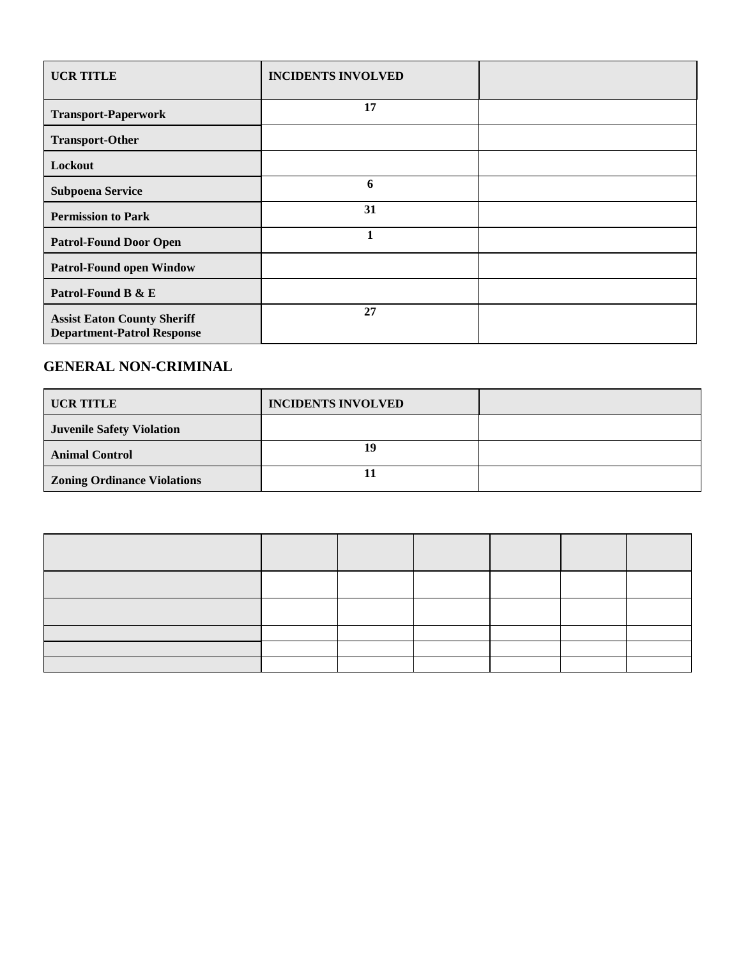| <b>UCR TITLE</b>                                                        | <b>INCIDENTS INVOLVED</b> |  |
|-------------------------------------------------------------------------|---------------------------|--|
| <b>Transport-Paperwork</b>                                              | 17                        |  |
| <b>Transport-Other</b>                                                  |                           |  |
| Lockout                                                                 |                           |  |
| <b>Subpoena Service</b>                                                 | 6                         |  |
| <b>Permission to Park</b>                                               | 31                        |  |
| <b>Patrol-Found Door Open</b>                                           | 1                         |  |
| <b>Patrol-Found open Window</b>                                         |                           |  |
| Patrol-Found B & E                                                      |                           |  |
| <b>Assist Eaton County Sheriff</b><br><b>Department-Patrol Response</b> | 27                        |  |

## **GENERAL NON-CRIMINAL**

| UCR TITLE                          | <b>INCIDENTS INVOLVED</b> |  |
|------------------------------------|---------------------------|--|
| <b>Juvenile Safety Violation</b>   |                           |  |
| <b>Animal Control</b>              | 19                        |  |
| <b>Zoning Ordinance Violations</b> |                           |  |